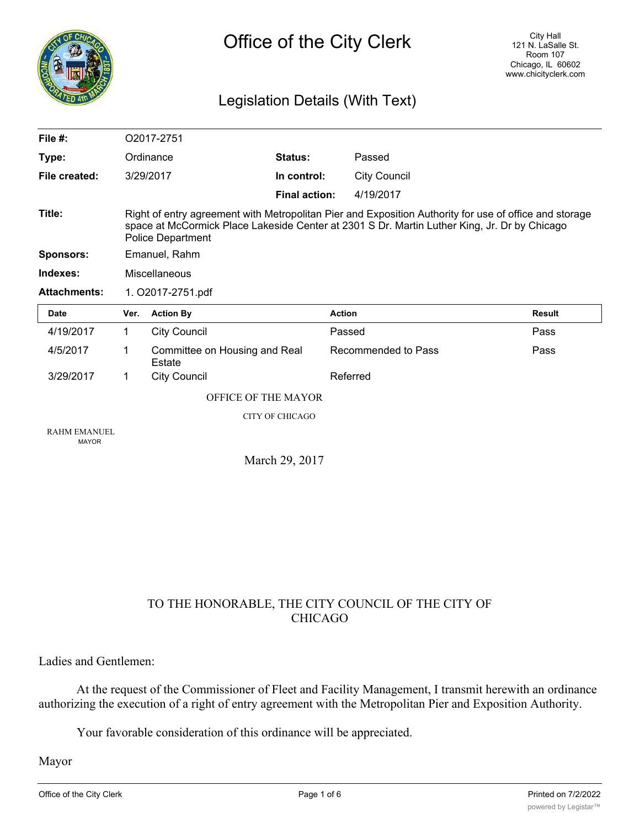

# Legislation Details (With Text)

| File $#$ :                          |                                                                                                                                                                                                                                    | O2017-2751                              |                      |                             |
|-------------------------------------|------------------------------------------------------------------------------------------------------------------------------------------------------------------------------------------------------------------------------------|-----------------------------------------|----------------------|-----------------------------|
| Type:                               |                                                                                                                                                                                                                                    | Ordinance                               | Status:              | Passed                      |
| File created:                       |                                                                                                                                                                                                                                    | 3/29/2017                               | In control:          | <b>City Council</b>         |
|                                     |                                                                                                                                                                                                                                    |                                         | <b>Final action:</b> | 4/19/2017                   |
| Title:                              | Right of entry agreement with Metropolitan Pier and Exposition Authority for use of office and storage<br>space at McCormick Place Lakeside Center at 2301 S Dr. Martin Luther King, Jr. Dr by Chicago<br><b>Police Department</b> |                                         |                      |                             |
| <b>Sponsors:</b>                    | Emanuel, Rahm                                                                                                                                                                                                                      |                                         |                      |                             |
| Indexes:                            | Miscellaneous                                                                                                                                                                                                                      |                                         |                      |                             |
| <b>Attachments:</b>                 | 1. O2017-2751.pdf                                                                                                                                                                                                                  |                                         |                      |                             |
| <b>Date</b>                         | Ver.                                                                                                                                                                                                                               | <b>Action By</b>                        |                      | <b>Action</b><br>Result     |
| 4/19/2017                           | $\mathbf{1}$                                                                                                                                                                                                                       | <b>City Council</b>                     |                      | Passed<br>Pass              |
| 4/5/2017                            | 1                                                                                                                                                                                                                                  | Committee on Housing and Real<br>Estate |                      | Recommended to Pass<br>Pass |
| 3/29/2017                           | 1                                                                                                                                                                                                                                  | <b>City Council</b>                     |                      | Referred                    |
|                                     | OFFICE OF THE MAYOR                                                                                                                                                                                                                |                                         |                      |                             |
|                                     | <b>CITY OF CHICAGO</b>                                                                                                                                                                                                             |                                         |                      |                             |
| <b>RAHM EMANUEL</b><br><b>MAYOR</b> |                                                                                                                                                                                                                                    |                                         |                      |                             |
|                                     | March 29, 2017                                                                                                                                                                                                                     |                                         |                      |                             |

## TO THE HONORABLE, THE CITY COUNCIL OF THE CITY OF CHICAGO

Ladies and Gentlemen:

At the request of the Commissioner of Fleet and Facility Management, I transmit herewith an ordinance authorizing the execution of a right of entry agreement with the Metropolitan Pier and Exposition Authority.

Your favorable consideration of this ordinance will be appreciated.

Mayor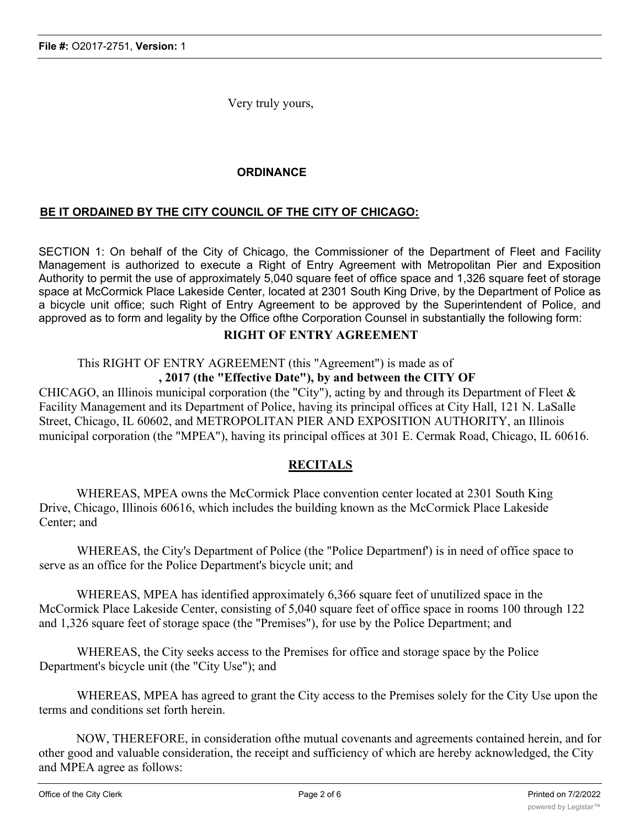Very truly yours,

## **ORDINANCE**

## **BE IT ORDAINED BY THE CITY COUNCIL OF THE CITY OF CHICAGO:**

SECTION 1: On behalf of the City of Chicago, the Commissioner of the Department of Fleet and Facility Management is authorized to execute a Right of Entry Agreement with Metropolitan Pier and Exposition Authority to permit the use of approximately 5,040 square feet of office space and 1,326 square feet of storage space at McCormick Place Lakeside Center, located at 2301 South King Drive, by the Department of Police as a bicycle unit office; such Right of Entry Agreement to be approved by the Superintendent of Police, and approved as to form and legality by the Office ofthe Corporation Counsel in substantially the following form:

## **RIGHT OF ENTRY AGREEMENT**

This RIGHT OF ENTRY AGREEMENT (this "Agreement") is made as of

## **, 2017 (the "Effective Date"), by and between the CITY OF**

CHICAGO, an Illinois municipal corporation (the "City"), acting by and through its Department of Fleet & Facility Management and its Department of Police, having its principal offices at City Hall, 121 N. LaSalle Street, Chicago, IL 60602, and METROPOLITAN PIER AND EXPOSITION AUTHORITY, an Illinois municipal corporation (the "MPEA"), having its principal offices at 301 E. Cermak Road, Chicago, IL 60616.

#### **RECITALS**

WHEREAS, MPEA owns the McCormick Place convention center located at 2301 South King Drive, Chicago, Illinois 60616, which includes the building known as the McCormick Place Lakeside Center; and

WHEREAS, the City's Department of Police (the "Police Departmenf') is in need of office space to serve as an office for the Police Department's bicycle unit; and

WHEREAS, MPEA has identified approximately 6,366 square feet of unutilized space in the McCormick Place Lakeside Center, consisting of 5,040 square feet of office space in rooms 100 through 122 and 1,326 square feet of storage space (the "Premises"), for use by the Police Department; and

WHEREAS, the City seeks access to the Premises for office and storage space by the Police Department's bicycle unit (the "City Use"); and

WHEREAS, MPEA has agreed to grant the City access to the Premises solely for the City Use upon the terms and conditions set forth herein.

NOW, THEREFORE, in consideration ofthe mutual covenants and agreements contained herein, and for other good and valuable consideration, the receipt and sufficiency of which are hereby acknowledged, the City and MPEA agree as follows: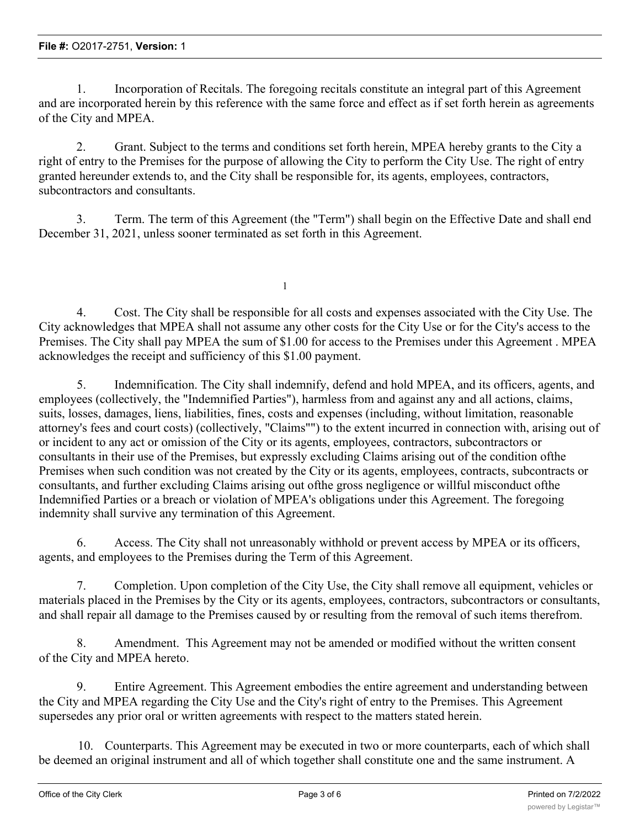1. Incorporation of Recitals. The foregoing recitals constitute an integral part of this Agreement and are incorporated herein by this reference with the same force and effect as if set forth herein as agreements of the City and MPEA.

2. Grant. Subject to the terms and conditions set forth herein, MPEA hereby grants to the City a right of entry to the Premises for the purpose of allowing the City to perform the City Use. The right of entry granted hereunder extends to, and the City shall be responsible for, its agents, employees, contractors, subcontractors and consultants.

3. Term. The term of this Agreement (the "Term") shall begin on the Effective Date and shall end December 31, 2021, unless sooner terminated as set forth in this Agreement.

1

4. Cost. The City shall be responsible for all costs and expenses associated with the City Use. The City acknowledges that MPEA shall not assume any other costs for the City Use or for the City's access to the Premises. The City shall pay MPEA the sum of \$1.00 for access to the Premises under this Agreement . MPEA acknowledges the receipt and sufficiency of this \$1.00 payment.

5. Indemnification. The City shall indemnify, defend and hold MPEA, and its officers, agents, and employees (collectively, the "Indemnified Parties"), harmless from and against any and all actions, claims, suits, losses, damages, liens, liabilities, fines, costs and expenses (including, without limitation, reasonable attorney's fees and court costs) (collectively, "Claims"") to the extent incurred in connection with, arising out of or incident to any act or omission of the City or its agents, employees, contractors, subcontractors or consultants in their use of the Premises, but expressly excluding Claims arising out of the condition ofthe Premises when such condition was not created by the City or its agents, employees, contracts, subcontracts or consultants, and further excluding Claims arising out ofthe gross negligence or willful misconduct ofthe Indemnified Parties or a breach or violation of MPEA's obligations under this Agreement. The foregoing indemnity shall survive any termination of this Agreement.

6. Access. The City shall not unreasonably withhold or prevent access by MPEA or its officers, agents, and employees to the Premises during the Term of this Agreement.

7. Completion. Upon completion of the City Use, the City shall remove all equipment, vehicles or materials placed in the Premises by the City or its agents, employees, contractors, subcontractors or consultants, and shall repair all damage to the Premises caused by or resulting from the removal of such items therefrom.

8. Amendment. This Agreement may not be amended or modified without the written consent of the City and MPEA hereto.

9. Entire Agreement. This Agreement embodies the entire agreement and understanding between the City and MPEA regarding the City Use and the City's right of entry to the Premises. This Agreement supersedes any prior oral or written agreements with respect to the matters stated herein.

10. Counterparts. This Agreement may be executed in two or more counterparts, each of which shall be deemed an original instrument and all of which together shall constitute one and the same instrument. A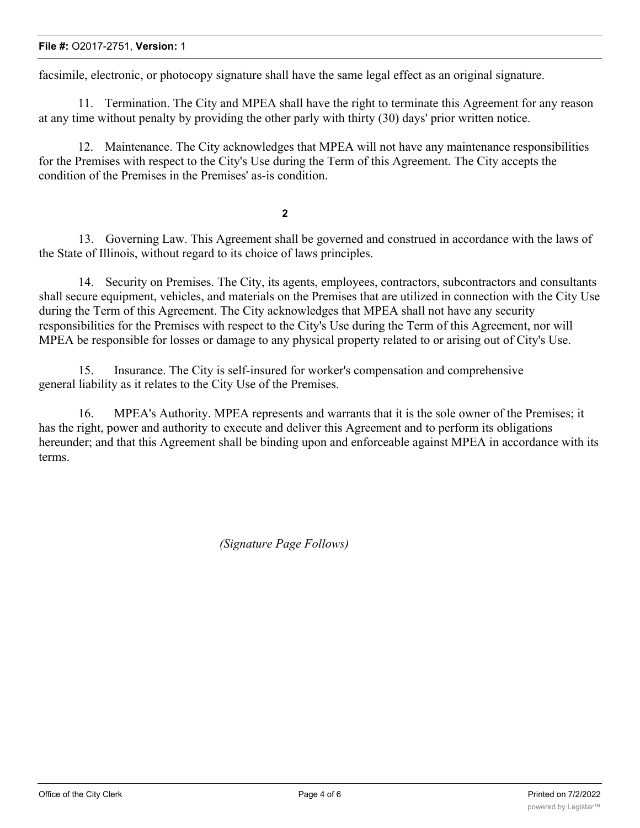#### **File #:** O2017-2751, **Version:** 1

facsimile, electronic, or photocopy signature shall have the same legal effect as an original signature.

11. Termination. The City and MPEA shall have the right to terminate this Agreement for any reason at any time without penalty by providing the other parly with thirty (30) days' prior written notice.

12. Maintenance. The City acknowledges that MPEA will not have any maintenance responsibilities for the Premises with respect to the City's Use during the Term of this Agreement. The City accepts the condition of the Premises in the Premises' as-is condition.

**2**

13. Governing Law. This Agreement shall be governed and construed in accordance with the laws of the State of Illinois, without regard to its choice of laws principles.

14. Security on Premises. The City, its agents, employees, contractors, subcontractors and consultants shall secure equipment, vehicles, and materials on the Premises that are utilized in connection with the City Use during the Term of this Agreement. The City acknowledges that MPEA shall not have any security responsibilities for the Premises with respect to the City's Use during the Term of this Agreement, nor will MPEA be responsible for losses or damage to any physical property related to or arising out of City's Use.

15. Insurance. The City is self-insured for worker's compensation and comprehensive general liability as it relates to the City Use of the Premises.

16. MPEA's Authority. MPEA represents and warrants that it is the sole owner of the Premises; it has the right, power and authority to execute and deliver this Agreement and to perform its obligations hereunder; and that this Agreement shall be binding upon and enforceable against MPEA in accordance with its terms.

*(Signature Page Follows)*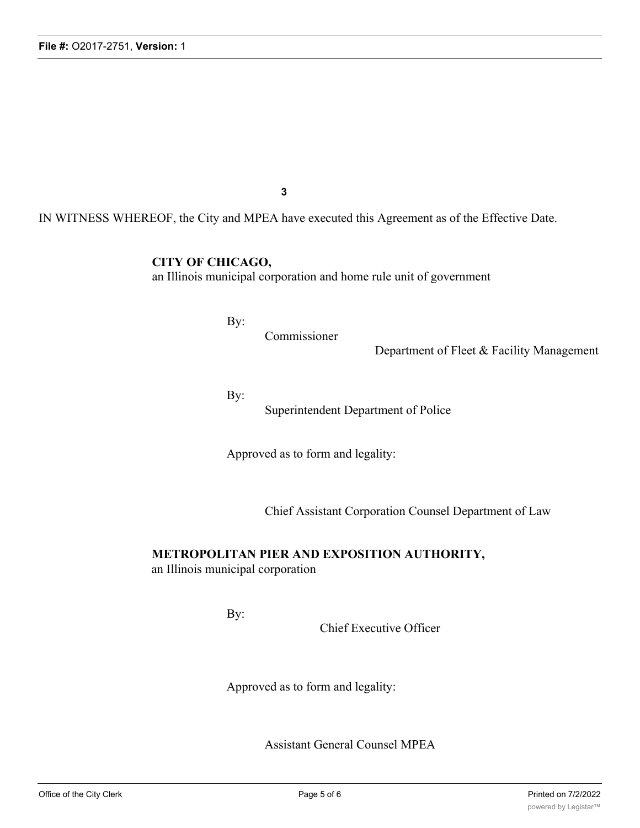**3**

IN WITNESS WHEREOF, the City and MPEA have executed this Agreement as of the Effective Date.

**CITY OF CHICAGO,**

an Illinois municipal corporation and home rule unit of government

By:

Commissioner

Department of Fleet & Facility Management

By:

Superintendent Department of Police

Approved as to form and legality:

Chief Assistant Corporation Counsel Department of Law

#### **METROPOLITAN PIER AND EXPOSITION AUTHORITY,**

an Illinois municipal corporation

By:

Chief Executive Officer

Approved as to form and legality:

Assistant General Counsel MPEA